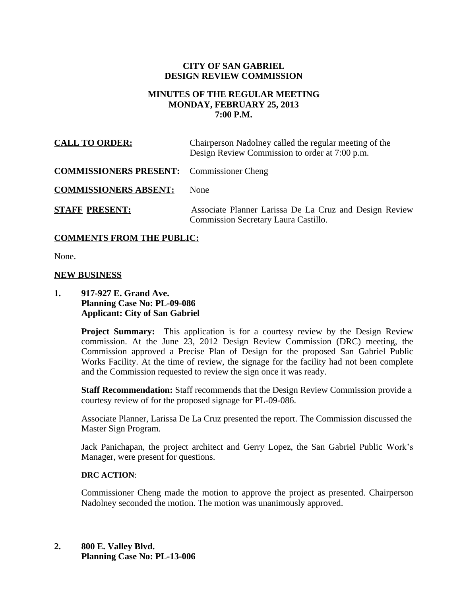#### **CITY OF SAN GABRIEL DESIGN REVIEW COMMISSION**

## **MINUTES OF THE REGULAR MEETING MONDAY, FEBRUARY 25, 2013 7:00 P.M.**

| <b>CALL TO ORDER:</b>                            | Chairperson Nadolney called the regular meeting of the<br>Design Review Commission to order at 7:00 p.m. |
|--------------------------------------------------|----------------------------------------------------------------------------------------------------------|
| <b>COMMISSIONERS PRESENT:</b> Commissioner Cheng |                                                                                                          |
| <b>COMMISSIONERS ABSENT:</b>                     | <b>None</b>                                                                                              |
| <b>STAFF PRESENT:</b>                            | Associate Planner Larissa De La Cruz and Design Review<br>Commission Secretary Laura Castillo.           |

### **COMMENTS FROM THE PUBLIC:**

None.

#### **NEW BUSINESS**

**1. 917-927 E. Grand Ave. Planning Case No: PL-09-086 Applicant: City of San Gabriel**

> **Project Summary:** This application is for a courtesy review by the Design Review commission. At the June 23, 2012 Design Review Commission (DRC) meeting, the Commission approved a Precise Plan of Design for the proposed San Gabriel Public Works Facility. At the time of review, the signage for the facility had not been complete and the Commission requested to review the sign once it was ready.

> **Staff Recommendation:** Staff recommends that the Design Review Commission provide a courtesy review of for the proposed signage for PL-09-086.

> Associate Planner, Larissa De La Cruz presented the report. The Commission discussed the Master Sign Program.

> Jack Panichapan, the project architect and Gerry Lopez, the San Gabriel Public Work's Manager, were present for questions.

#### **DRC ACTION**:

Commissioner Cheng made the motion to approve the project as presented. Chairperson Nadolney seconded the motion. The motion was unanimously approved.

**2. 800 E. Valley Blvd. Planning Case No: PL-13-006**